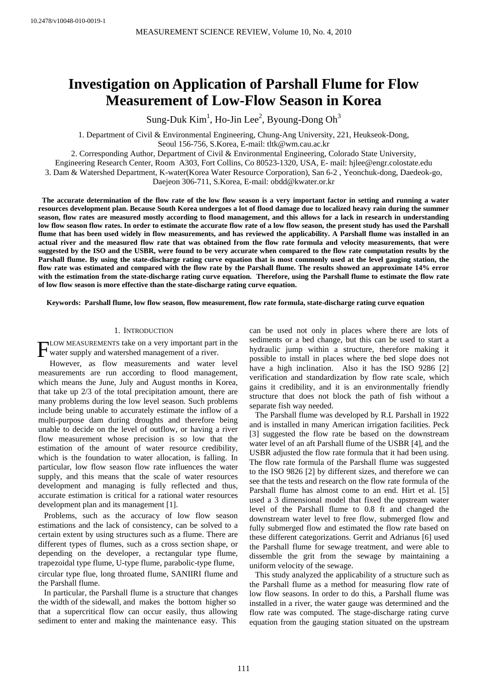# **Investigation on Application of Parshall Flume for Flow Measurement of Low-Flow Season in Korea**

Sung-Duk  $\mathrm{Kim}^1$ , Ho-Jin Lee<sup>2</sup>, Byoung-Dong Oh<sup>3</sup>

1. Department of Civil & Environmental Engineering, Chung-Ang University, 221, Heukseok-Dong, Seoul 156-756, S.Korea, E-mail: tltk@wm.cau.ac.kr

2. Corresponding Author, Department of Civil & Environmental Engineering, Colorado State University,

Engineering Research Center, Room A303, Fort Collins, Co 80523-1320, USA, E- mail: hjlee@engr.colostate.edu

3. Dam & Watershed Department, K-water(Korea Water Resource Corporation), San 6-2 , Yeonchuk-dong, Daedeok-go,

Daejeon 306-711, S.Korea, E-mail: obdd@kwater.or.kr

**The accurate determination of the flow rate of the low flow season is a very important factor in setting and running a water resources development plan. Because South Korea undergoes a lot of flood damage due to localized heavy rain during the summer season, flow rates are measured mostly according to flood management, and this allows for a lack in research in understanding low flow season flow rates. In order to estimate the accurate flow rate of a low flow season, the present study has used the Parshall flume that has been used widely in flow measurements, and has reviewed the applicability. A Parshall flume was installed in an actual river and the measured flow rate that was obtained from the flow rate formula and velocity measurements, that were suggested by the ISO and the USBR, were found to be very accurate when compared to the flow rate computation results by the Parshall flume. By using the state-discharge rating curve equation that is most commonly used at the level gauging station, the flow rate was estimated and compared with the flow rate by the Parshall flume. The results showed an approximate 14% error with the estimation from the state-discharge rating curve equation. Therefore, using the Parshall flume to estimate the flow rate of low flow season is more effective than the state-discharge rating curve equation.** 

**Keywords: Parshall flume, low flow season, flow measurement, flow rate formula, state-discharge rating curve equation** 

# 1. INTRODUCTION

LOW MEASUREMENTS take on a very important part in the FLOW MEASUREMENTS take on a very important part if water supply and watershed management of a river.

However, as flow measurements and water level measurements are run according to flood management, which means the June, July and August months in Korea, that take up 2/3 of the total precipitation amount, there are many problems during the low level season. Such problems include being unable to accurately estimate the inflow of a multi-purpose dam during droughts and therefore being unable to decide on the level of outflow, or having a river flow measurement whose precision is so low that the estimation of the amount of water resource credibility, which is the foundation to water allocation, is falling. In particular, low flow season flow rate influences the water supply, and this means that the scale of water resources development and managing is fully reflected and thus, accurate estimation is critical for a rational water resources development plan and its management [1].

Problems, such as the accuracy of low flow season estimations and the lack of consistency, can be solved to a certain extent by using structures such as a flume. There are different types of flumes, such as a cross section shape, or depending on the developer, a rectangular type flume, trapezoidal type flume, U-type flume, parabolic-type flume, circular type flue, long throated flume, SANIIRI flume and the Parshall flume.

In particular, the Parshall flume is a structure that changes the width of the sidewall, and makes the bottom higher so that a supercritical flow can occur easily, thus allowing sediment to enter and making the maintenance easy. This

can be used not only in places where there are lots of sediments or a bed change, but this can be used to start a hydraulic jump within a structure, therefore making it possible to install in places where the bed slope does not have a high inclination. Also it has the ISO 9286 [2] verification and standardization by flow rate scale, which gains it credibility, and it is an environmentally friendly structure that does not block the path of fish without a separate fish way needed.

The Parshall flume was developed by R.L Parshall in 1922 and is installed in many American irrigation facilities. Peck [3] suggested the flow rate be based on the downstream water level of an aft Parshall flume of the USBR [4], and the USBR adjusted the flow rate formula that it had been using. The flow rate formula of the Parshall flume was suggested to the ISO 9826 [2] by different sizes, and therefore we can see that the tests and research on the flow rate formula of the Parshall flume has almost come to an end. Hirt et al. [5] used a 3 dimensional model that fixed the upstream water level of the Parshall flume to 0.8 ft and changed the downstream water level to free flow, submerged flow and fully submerged flow and estimated the flow rate based on these different categorizations. Gerrit and Adrianus [6] used the Parshall flume for sewage treatment, and were able to dissemble the grit from the sewage by maintaining a uniform velocity of the sewage.

This study analyzed the applicability of a structure such as the Parshall flume as a method for measuring flow rate of low flow seasons. In order to do this, a Parshall flume was installed in a river, the water gauge was determined and the flow rate was computed. The stage-discharge rating curve equation from the gauging station situated on the upstream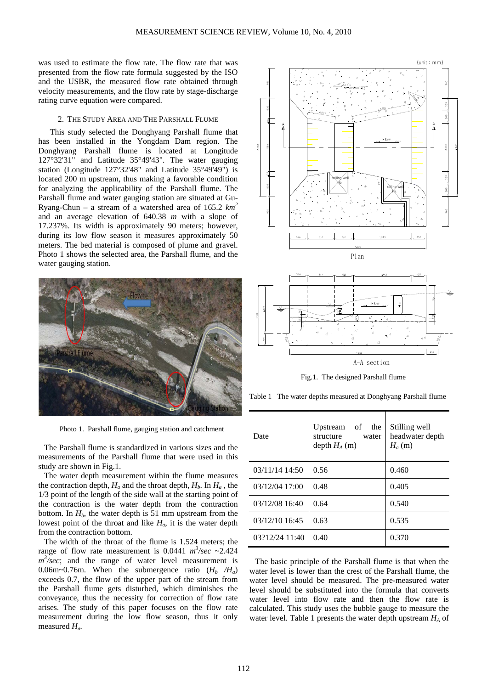was used to estimate the flow rate. The flow rate that was presented from the flow rate formula suggested by the ISO and the USBR, the measured flow rate obtained through velocity measurements, and the flow rate by stage-discharge rating curve equation were compared.

### 2. THE STUDY AREA AND THE PARSHALL FLUME

This study selected the Donghyang Parshall flume that has been installed in the Yongdam Dam region. The Donghyang Parshall flume is located at Longitude 127°32'31" and Latitude 35°49'43". The water gauging station (Longitude 127°32'48" and Latitude 35°49'49") is located 200 m upstream, thus making a favorable condition for analyzing the applicability of the Parshall flume. The Parshall flume and water gauging station are situated at Gu-Ryang-Chun – a stream of a watershed area of 165.2 *km<sup>2</sup>* and an average elevation of 640.38 *m* with a slope of 17.237%. Its width is approximately 90 meters; however, during its low flow season it measures approximately 50 meters. The bed material is composed of plume and gravel. Photo 1 shows the selected area, the Parshall flume, and the water gauging station.



Photo 1. Parshall flume, gauging station and catchment

The Parshall flume is standardized in various sizes and the measurements of the Parshall flume that were used in this study are shown in Fig.1.

The water depth measurement within the flume measures the contraction depth,  $H_a$  and the throat depth,  $H_b$ . In  $H_a$ , the 1/3 point of the length of the side wall at the starting point of the contraction is the water depth from the contraction bottom. In  $H<sub>b</sub>$ , the water depth is 51 mm upstream from the lowest point of the throat and like *Ha*, it is the water depth from the contraction bottom.

The width of the throat of the flume is 1.524 meters; the range of flow rate measurement is 0.0441  $m^3/sec \sim 2.424$  $m^3$ /sec; and the range of water level measurement is 0.06m~0.76m. When the submergence ratio  $(H_b / H_a)$ exceeds 0.7, the flow of the upper part of the stream from the Parshall flume gets disturbed, which diminishes the conveyance, thus the necessity for correction of flow rate arises. The study of this paper focuses on the flow rate measurement during the low flow season, thus it only measured *Ha.* 





Fig.1. The designed Parshall flume

Table 1 The water depths measured at Donghyang Parshall flume

| Date           | Upstream of<br>the<br>structure<br>water<br>depth $H_A(m)$ | Stilling well<br>headwater depth<br>$H_a(m)$ |
|----------------|------------------------------------------------------------|----------------------------------------------|
| 03/11/14 14:50 | 0.56                                                       | 0.460                                        |
| 03/12/04 17:00 | 0.48                                                       | 0.405                                        |
| 03/12/08 16:40 | 0.64                                                       | 0.540                                        |
| 03/12/10 16:45 | 0.63                                                       | 0.535                                        |
| 03?12/24 11:40 | 0.40                                                       | 0.370                                        |

The basic principle of the Parshall flume is that when the water level is lower than the crest of the Parshall flume, the water level should be measured. The pre-measured water level should be substituted into the formula that converts water level into flow rate and then the flow rate is calculated. This study uses the bubble gauge to measure the water level. Table 1 presents the water depth upstream *HA* of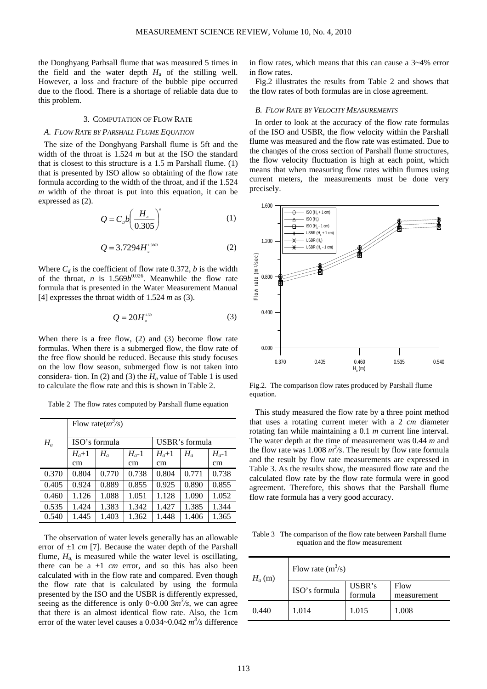the Donghyang Parhsall flume that was measured 5 times in the field and the water depth  $H_a$  of the stilling well. However, a loss and fracture of the bubble pipe occurred due to the flood. There is a shortage of reliable data due to this problem.

## 3. COMPUTATION OF FLOW RATE

#### *A. FLOW RATE BY PARSHALL FLUME EQUATION*

The size of the Donghyang Parshall flume is 5ft and the width of the throat is 1.524 *m* but at the ISO the standard that is closest to this structure is a 1.5 m Parshall flume. (1) that is presented by ISO allow so obtaining of the flow rate formula according to the width of the throat, and if the 1.524 *m* width of the throat is put into this equation, it can be expressed as (2).

$$
Q = C_b b \left(\frac{H_a}{0.305}\right)^n \tag{1}
$$

$$
Q = 3.7294 H_a^{1.5863}
$$
 (2)

Where  $C_d$  is the coefficient of flow rate 0.372, *b* is the width of the throat, *n* is 1.569 $b^{0.026}$ . Meanwhile the flow rate formula that is presented in the Water Measurement Manual [4] expresses the throat width of 1.524 *m* as (3).

$$
Q = 20H_a^{1.59}
$$

When there is a free flow, (2) and (3) become flow rate formulas. When there is a submerged flow, the flow rate of the free flow should be reduced. Because this study focuses on the low flow season, submerged flow is not taken into considera- tion. In (2) and (3) the  $H_a$  value of Table 1 is used to calculate the flow rate and this is shown in Table 2.

Table 2 The flow rates computed by Parshall flume equation

|       | Flow rate $(m^3/s)$ |       |          |                |       |          |  |
|-------|---------------------|-------|----------|----------------|-------|----------|--|
| $H_a$ | ISO's formula       |       |          | USBR's formula |       |          |  |
|       | $H_a+1$             | $H_a$ | $H_a$ -1 | $H_a+1$        | $H_a$ | $H_a$ -1 |  |
|       | cm                  |       | cm       | cm             |       | cm       |  |
| 0.370 | 0.804               | 0.770 | 0.738    | 0.804          | 0.771 | 0.738    |  |
| 0.405 | 0.924               | 0.889 | 0.855    | 0.925          | 0.890 | 0.855    |  |
| 0.460 | 1.126               | 1.088 | 1.051    | 1.128          | 1.090 | 1.052    |  |
| 0.535 | 1.424               | 1.383 | 1.342    | 1.427          | 1.385 | 1.344    |  |
| 0.540 | 1.445               | 1.403 | 1.362    | 1.448          | 1.406 | 1.365    |  |

The observation of water levels generally has an allowable error of ±1 *cm* [7]. Because the water depth of the Parshall flume,  $H_a$  is measured while the water level is oscillating, there can be a  $\pm 1$  *cm* error, and so this has also been calculated with in the flow rate and compared. Even though the flow rate that is calculated by using the formula presented by the ISO and the USBR is differently expressed, seeing as the difference is only  $0\nu$ -0.00  $3m<sup>3</sup>/s$ , we can agree that there is an almost identical flow rate. Also, the 1cm error of the water level causes a 0.034~0.042 *m<sup>3</sup> /s* difference in flow rates, which means that this can cause a 3~4% error in flow rates.

Fig.2 illustrates the results from Table 2 and shows that the flow rates of both formulas are in close agreement.

#### *B. FLOW RATE BY VELOCITY MEASUREMENTS*

In order to look at the accuracy of the flow rate formulas of the ISO and USBR, the flow velocity within the Parshall flume was measured and the flow rate was estimated. Due to the changes of the cross section of Parshall flume structures, the flow velocity fluctuation is high at each point, which means that when measuring flow rates within flumes using current meters, the measurements must be done very precisely.



Fig.2. The comparison flow rates produced by Parshall flume equation.

This study measured the flow rate by a three point method that uses a rotating current meter with a 2 *cm* diameter rotating fan while maintaining a 0.1 *m* current line interval. The water depth at the time of measurement was 0.44 *m* and the flow rate was 1.008  $m^3$ /s. The result by flow rate formula and the result by flow rate measurements are expressed in Table 3. As the results show, the measured flow rate and the calculated flow rate by the flow rate formula were in good agreement. Therefore, this shows that the Parshall flume flow rate formula has a very good accuracy.

Table 3 The comparison of the flow rate between Parshall flume equation and the flow measurement

| $H_a(m)$ | Flow rate $(m^3/s)$ |                   |                     |  |
|----------|---------------------|-------------------|---------------------|--|
|          | ISO's formula       | USBR's<br>formula | Flow<br>measurement |  |
| 0.440    | 1.014               | 1.015             | 1.008               |  |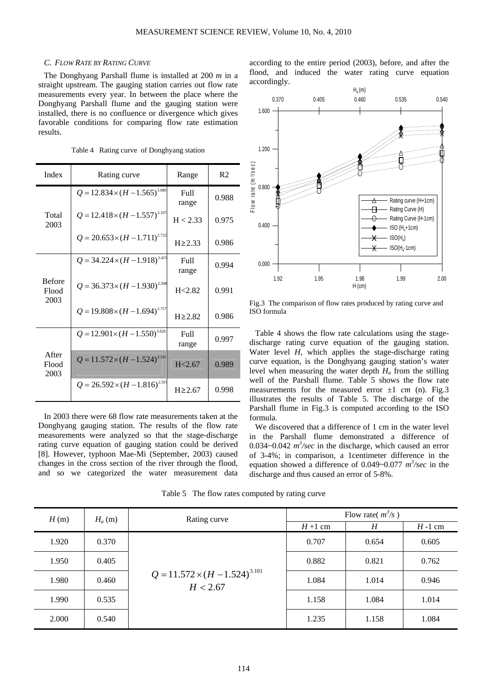# *C. FLOW RATE BY RATING CURVE*

The Donghyang Parshall flume is installed at 200 *m* in a straight upstream. The gauging station carries out flow rate measurements every year. In between the place where the Donghyang Parshall flume and the gauging station were installed, there is no confluence or divergence which gives favorable conditions for comparing flow rate estimation results.

| Index         | Rating curve                            | Range         | R <sub>2</sub> |
|---------------|-----------------------------------------|---------------|----------------|
| Total<br>2003 | $Q = 12.834 \times (H - 1.565)^{3.080}$ | Full<br>range | 0.988          |
|               | $Q = 12.418 \times (H - 1.557)^{3.107}$ | H < 2.33      | 0.975          |
|               | $Q = 20.653 \times (H - 1.711)^{2.732}$ | $H \ge 2.33$  | 0.986          |
|               | $Q = 34.224 \times (H - 1.918)^{2.415}$ | Full<br>range | 0.994          |

Table 4 Rating curve of Donghyang station

|                                | $Q = 34.224 \times (H - 1.918)^{2.415}$ | Full<br>range     | 0.994 | 0.0                     |
|--------------------------------|-----------------------------------------|-------------------|-------|-------------------------|
| <b>Before</b><br>Flood<br>2003 | $Q = 36.373 \times (H - 1.930)^{2.398}$ | H < 2.82          | 0.991 |                         |
|                                | $Q = 19.808 \times (H - 1.694)^{2.757}$ | $H \ge 2.82$      | 0.986 | Fig.3<br>ISO:           |
| After<br>Flood<br>2003         | $Q = 12.901 \times (H - 1.550)^{3.026}$ | Full<br>range     | 0.997 | Ta<br>discl             |
|                                | $Q = 11.572 \times (H - 1.524)^{3.101}$ | H <sub>2.67</sub> | 0.989 | Wate<br>curv<br>leve    |
|                                | $Q = 26.592 \times (H - 1.816)^{2.597}$ | $H \geq 2.67$     | 0.998 | well<br>mea<br>$11.1 -$ |

In 2003 there were 68 flow rate measurements taken at the Donghyang gauging station. The results of the flow rate measurements were analyzed so that the stage-discharge rating curve equation of gauging station could be derived [8]. However, typhoon Mae-Mi (September, 2003) caused changes in the cross section of the river through the flood, and so we categorized the water measurement data

according to the entire period (2003), before, and after the flood, and induced the water rating curve equation accordingly.



The comparison of flow rates produced by rating curve and formula

able 4 shows the flow rate calculations using the stageharge rating curve equation of the gauging station. er level  $H$ , which applies the stage-discharge rating e equation, is the Donghyang gauging station's water I when measuring the water depth  $H_a$  from the stilling of the Parshall flume. Table 5 shows the flow rate surements for the measured error  $\pm 1$  *cm* (n). Fig.3 illustrates the results of Table 5. The discharge of the Parshall flume in Fig.3 is computed according to the ISO formula.

We discovered that a difference of 1 cm in the water level in the Parshall flume demonstrated a difference of 0.034 $\sim$ 0.042  $m^3$ /sec in the discharge, which caused an error of 3-4%; in comparison, a 1centimeter difference in the equation showed a difference of 0.049~0.077 *m<sup>3</sup> /sec* in the discharge and thus caused an error of 5-8%.

Table 5 The flow rates computed by rating curve

| H(m)  | $H_a(m)$ | Rating curve                                        | Flow rate( $m^3/s$ ) |       |          |
|-------|----------|-----------------------------------------------------|----------------------|-------|----------|
|       |          |                                                     | $H+1$ cm             | H     | $H-1$ cm |
| 1.920 | 0.370    | $Q = 11.572 \times (H - 1.524)^{3.101}$<br>H < 2.67 | 0.707                | 0.654 | 0.605    |
| 1.950 | 0.405    |                                                     | 0.882                | 0.821 | 0.762    |
| 1.980 | 0.460    |                                                     | 1.084                | 1.014 | 0.946    |
| 1.990 | 0.535    |                                                     | 1.158                | 1.084 | 1.014    |
| 2.000 | 0.540    |                                                     | 1.235                | 1.158 | 1.084    |